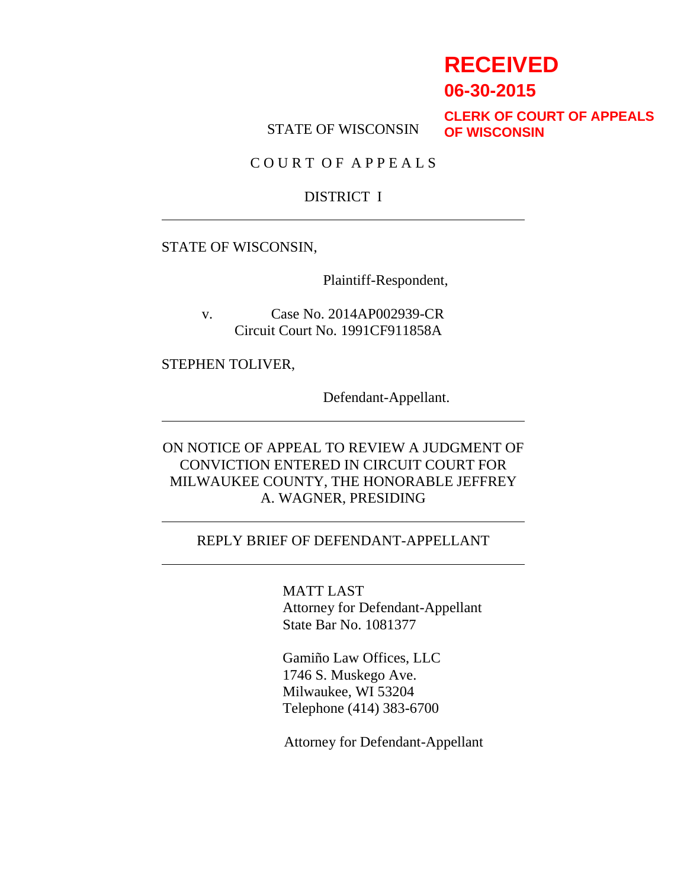# **RECEIVED**

**06-30-2015**

STATE OF WISCONSIN

**CLERK OF COURT OF APPEALS OF WISCONSIN**

C O U R T O F A P P E A L S

#### DISTRICT I

#### STATE OF WISCONSIN,

Plaintiff-Respondent,

v. Case No. 2014AP002939-CR Circuit Court No. 1991CF911858A

STEPHEN TOLIVER,

Defendant-Appellant.

ON NOTICE OF APPEAL TO REVIEW A JUDGMENT OF CONVICTION ENTERED IN CIRCUIT COURT FOR MILWAUKEE COUNTY, THE HONORABLE JEFFREY A. WAGNER, PRESIDING

#### REPLY BRIEF OF DEFENDANT-APPELLANT

MATT LAST Attorney for Defendant-Appellant State Bar No. 1081377

Gamiño Law Offices, LLC 1746 S. Muskego Ave. Milwaukee, WI 53204 Telephone (414) 383-6700

Attorney for Defendant-Appellant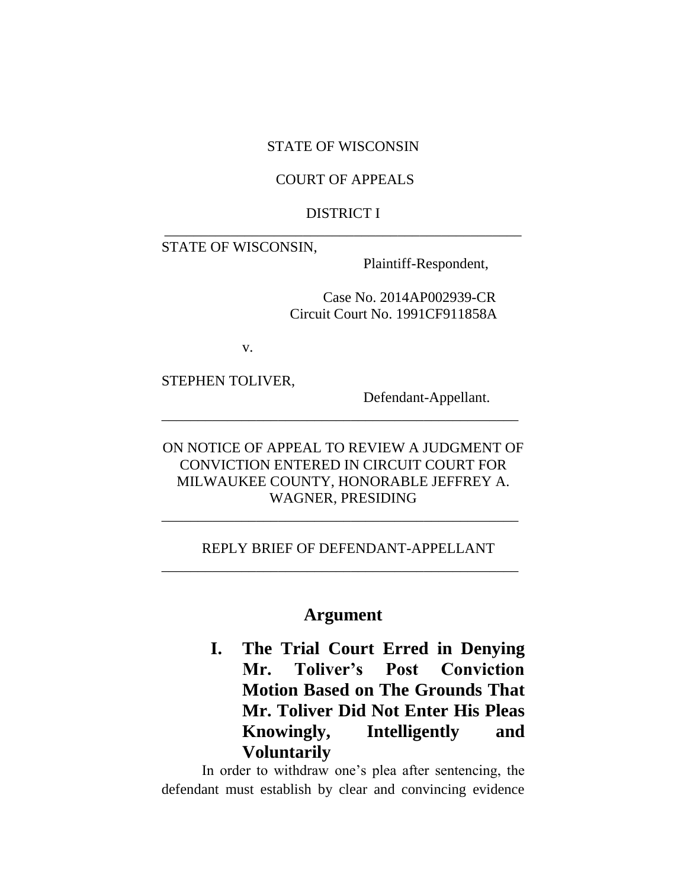#### STATE OF WISCONSIN

#### COURT OF APPEALS

#### DISTRICT I \_\_\_\_\_\_\_\_\_\_\_\_\_\_\_\_\_\_\_\_\_\_\_\_\_\_\_\_\_\_\_\_\_\_\_\_\_\_\_\_\_\_\_\_\_\_\_\_\_

STATE OF WISCONSIN,

Plaintiff-Respondent,

Case No. 2014AP002939-CR Circuit Court No. 1991CF911858A

v.

STEPHEN TOLIVER,

Defendant-Appellant.

ON NOTICE OF APPEAL TO REVIEW A JUDGMENT OF CONVICTION ENTERED IN CIRCUIT COURT FOR MILWAUKEE COUNTY, HONORABLE JEFFREY A. WAGNER, PRESIDING

\_\_\_\_\_\_\_\_\_\_\_\_\_\_\_\_\_\_\_\_\_\_\_\_\_\_\_\_\_\_\_\_\_\_\_\_\_\_\_\_\_\_\_\_\_\_\_\_\_

\_\_\_\_\_\_\_\_\_\_\_\_\_\_\_\_\_\_\_\_\_\_\_\_\_\_\_\_\_\_\_\_\_\_\_\_\_\_\_\_\_\_\_\_\_\_\_\_\_

\_\_\_\_\_\_\_\_\_\_\_\_\_\_\_\_\_\_\_\_\_\_\_\_\_\_\_\_\_\_\_\_\_\_\_\_\_\_\_\_\_\_\_\_\_\_\_\_\_

#### REPLY BRIEF OF DEFENDANT-APPELLANT

### **Argument**

**I. The Trial Court Erred in Denying Mr. Toliver's Post Conviction Motion Based on The Grounds That Mr. Toliver Did Not Enter His Pleas Knowingly, Intelligently and Voluntarily**

In order to withdraw one's plea after sentencing, the defendant must establish by clear and convincing evidence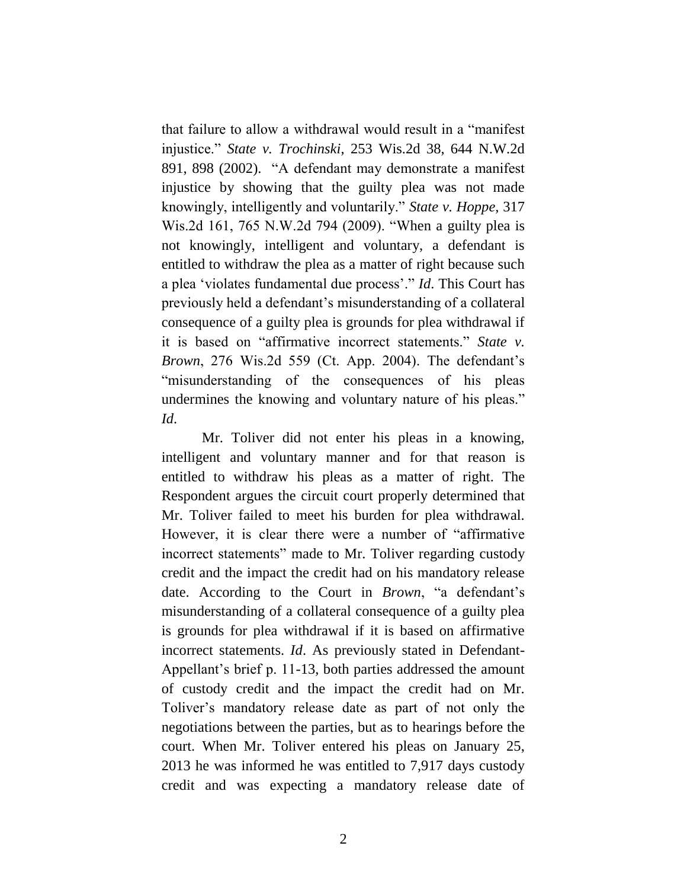that failure to allow a withdrawal would result in a "manifest injustice." *State v. Trochinski*, 253 Wis.2d 38, 644 N.W.2d 891, 898 (2002). "A defendant may demonstrate a manifest injustice by showing that the guilty plea was not made knowingly, intelligently and voluntarily." *State v. Hoppe*, 317 Wis.2d 161, 765 N.W.2d 794 (2009). "When a guilty plea is not knowingly, intelligent and voluntary, a defendant is entitled to withdraw the plea as a matter of right because such a plea 'violates fundamental due process'." *Id*. This Court has previously held a defendant's misunderstanding of a collateral consequence of a guilty plea is grounds for plea withdrawal if it is based on "affirmative incorrect statements." *State v. Brown*, 276 Wis.2d 559 (Ct. App. 2004). The defendant's "misunderstanding of the consequences of his pleas undermines the knowing and voluntary nature of his pleas." *Id*.

Mr. Toliver did not enter his pleas in a knowing, intelligent and voluntary manner and for that reason is entitled to withdraw his pleas as a matter of right. The Respondent argues the circuit court properly determined that Mr. Toliver failed to meet his burden for plea withdrawal. However, it is clear there were a number of "affirmative incorrect statements" made to Mr. Toliver regarding custody credit and the impact the credit had on his mandatory release date. According to the Court in *Brown*, "a defendant's misunderstanding of a collateral consequence of a guilty plea is grounds for plea withdrawal if it is based on affirmative incorrect statements. *Id*. As previously stated in Defendant-Appellant's brief p. 11-13, both parties addressed the amount of custody credit and the impact the credit had on Mr. Toliver's mandatory release date as part of not only the negotiations between the parties, but as to hearings before the court. When Mr. Toliver entered his pleas on January 25, 2013 he was informed he was entitled to 7,917 days custody credit and was expecting a mandatory release date of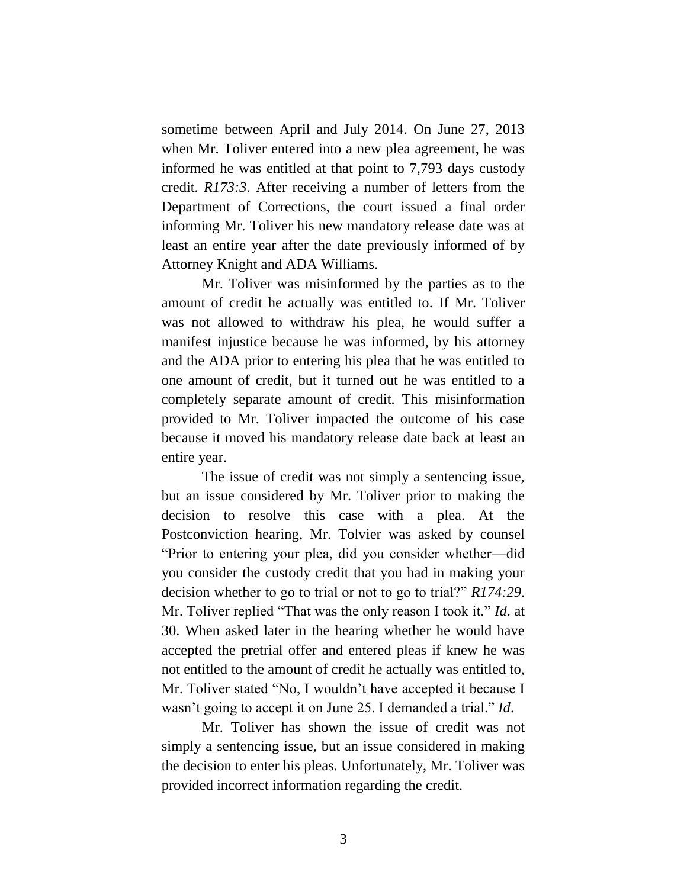sometime between April and July 2014. On June 27, 2013 when Mr. Toliver entered into a new plea agreement, he was informed he was entitled at that point to 7,793 days custody credit. *R173:3*. After receiving a number of letters from the Department of Corrections, the court issued a final order informing Mr. Toliver his new mandatory release date was at least an entire year after the date previously informed of by Attorney Knight and ADA Williams.

Mr. Toliver was misinformed by the parties as to the amount of credit he actually was entitled to. If Mr. Toliver was not allowed to withdraw his plea, he would suffer a manifest injustice because he was informed, by his attorney and the ADA prior to entering his plea that he was entitled to one amount of credit, but it turned out he was entitled to a completely separate amount of credit. This misinformation provided to Mr. Toliver impacted the outcome of his case because it moved his mandatory release date back at least an entire year.

The issue of credit was not simply a sentencing issue, but an issue considered by Mr. Toliver prior to making the decision to resolve this case with a plea. At the Postconviction hearing, Mr. Tolvier was asked by counsel "Prior to entering your plea, did you consider whether—did you consider the custody credit that you had in making your decision whether to go to trial or not to go to trial?" *R174:29*. Mr. Toliver replied "That was the only reason I took it." *Id*. at 30. When asked later in the hearing whether he would have accepted the pretrial offer and entered pleas if knew he was not entitled to the amount of credit he actually was entitled to, Mr. Toliver stated "No, I wouldn't have accepted it because I wasn't going to accept it on June 25. I demanded a trial." *Id*.

Mr. Toliver has shown the issue of credit was not simply a sentencing issue, but an issue considered in making the decision to enter his pleas. Unfortunately, Mr. Toliver was provided incorrect information regarding the credit.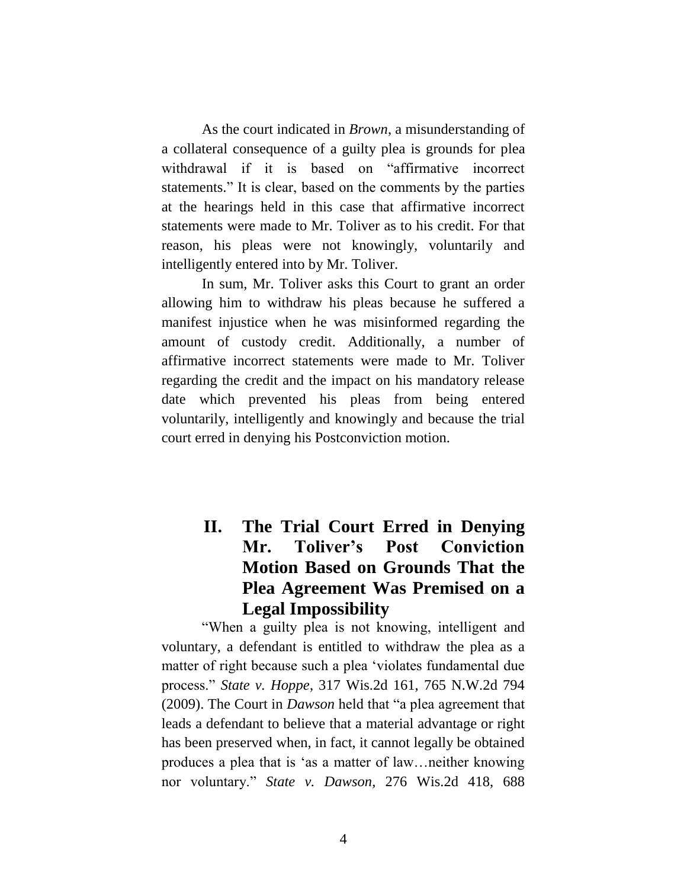As the court indicated in *Brown*, a misunderstanding of a collateral consequence of a guilty plea is grounds for plea withdrawal if it is based on "affirmative incorrect statements." It is clear, based on the comments by the parties at the hearings held in this case that affirmative incorrect statements were made to Mr. Toliver as to his credit. For that reason, his pleas were not knowingly, voluntarily and intelligently entered into by Mr. Toliver.

In sum, Mr. Toliver asks this Court to grant an order allowing him to withdraw his pleas because he suffered a manifest injustice when he was misinformed regarding the amount of custody credit. Additionally, a number of affirmative incorrect statements were made to Mr. Toliver regarding the credit and the impact on his mandatory release date which prevented his pleas from being entered voluntarily, intelligently and knowingly and because the trial court erred in denying his Postconviction motion.

# **II. The Trial Court Erred in Denying Mr. Toliver's Post Conviction Motion Based on Grounds That the Plea Agreement Was Premised on a Legal Impossibility**

"When a guilty plea is not knowing, intelligent and voluntary, a defendant is entitled to withdraw the plea as a matter of right because such a plea 'violates fundamental due process." *State v. Hoppe*, 317 Wis.2d 161, 765 N.W.2d 794 (2009). The Court in *Dawson* held that "a plea agreement that leads a defendant to believe that a material advantage or right has been preserved when, in fact, it cannot legally be obtained produces a plea that is 'as a matter of law…neither knowing nor voluntary." *State v. Dawson*, 276 Wis.2d 418, 688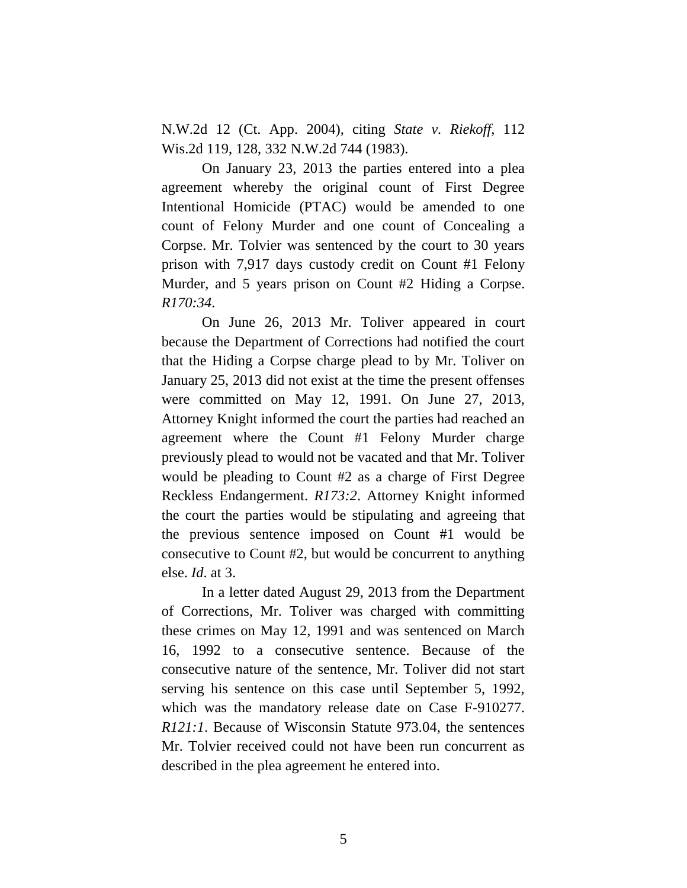N.W.2d 12 (Ct. App. 2004), citing *State v. Riekoff*, 112 Wis.2d 119, 128, 332 N.W.2d 744 (1983).

On January 23, 2013 the parties entered into a plea agreement whereby the original count of First Degree Intentional Homicide (PTAC) would be amended to one count of Felony Murder and one count of Concealing a Corpse. Mr. Tolvier was sentenced by the court to 30 years prison with 7,917 days custody credit on Count #1 Felony Murder, and 5 years prison on Count #2 Hiding a Corpse. *R170:34*.

On June 26, 2013 Mr. Toliver appeared in court because the Department of Corrections had notified the court that the Hiding a Corpse charge plead to by Mr. Toliver on January 25, 2013 did not exist at the time the present offenses were committed on May 12, 1991. On June 27, 2013, Attorney Knight informed the court the parties had reached an agreement where the Count #1 Felony Murder charge previously plead to would not be vacated and that Mr. Toliver would be pleading to Count #2 as a charge of First Degree Reckless Endangerment. *R173:2*. Attorney Knight informed the court the parties would be stipulating and agreeing that the previous sentence imposed on Count #1 would be consecutive to Count #2, but would be concurrent to anything else. *Id*. at 3.

In a letter dated August 29, 2013 from the Department of Corrections, Mr. Toliver was charged with committing these crimes on May 12, 1991 and was sentenced on March 16, 1992 to a consecutive sentence. Because of the consecutive nature of the sentence, Mr. Toliver did not start serving his sentence on this case until September 5, 1992, which was the mandatory release date on Case F-910277. *R121:1*. Because of Wisconsin Statute 973.04, the sentences Mr. Tolvier received could not have been run concurrent as described in the plea agreement he entered into.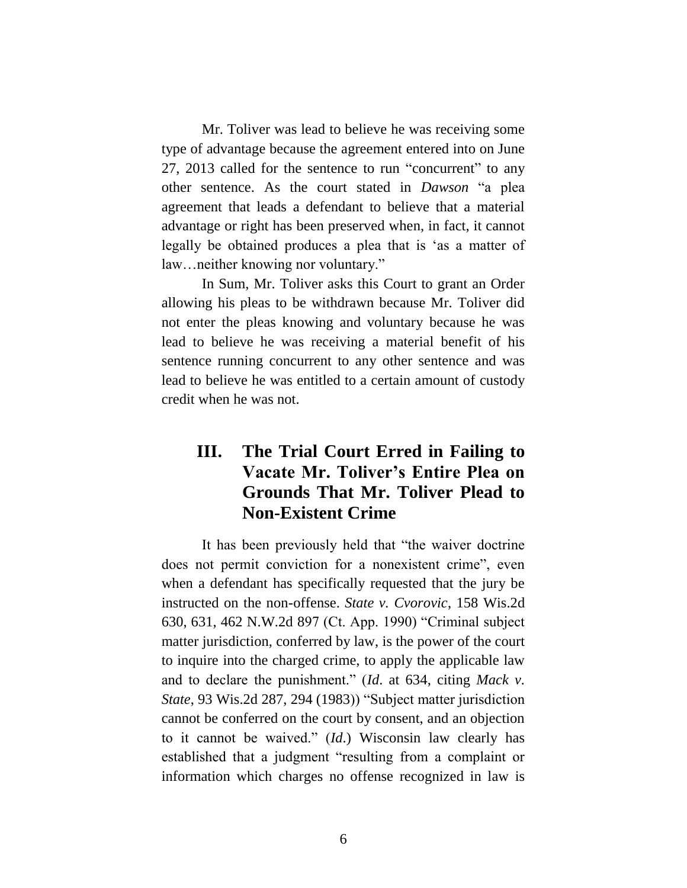Mr. Toliver was lead to believe he was receiving some type of advantage because the agreement entered into on June 27, 2013 called for the sentence to run "concurrent" to any other sentence. As the court stated in *Dawson* "a plea agreement that leads a defendant to believe that a material advantage or right has been preserved when, in fact, it cannot legally be obtained produces a plea that is 'as a matter of law…neither knowing nor voluntary."

In Sum, Mr. Toliver asks this Court to grant an Order allowing his pleas to be withdrawn because Mr. Toliver did not enter the pleas knowing and voluntary because he was lead to believe he was receiving a material benefit of his sentence running concurrent to any other sentence and was lead to believe he was entitled to a certain amount of custody credit when he was not.

# **III. The Trial Court Erred in Failing to Vacate Mr. Toliver's Entire Plea on Grounds That Mr. Toliver Plead to Non-Existent Crime**

It has been previously held that "the waiver doctrine does not permit conviction for a nonexistent crime", even when a defendant has specifically requested that the jury be instructed on the non-offense. *State v. Cvorovic*, 158 Wis.2d 630, 631, 462 N.W.2d 897 (Ct. App. 1990) "Criminal subject matter jurisdiction, conferred by law, is the power of the court to inquire into the charged crime, to apply the applicable law and to declare the punishment." (*Id*. at 634, citing *Mack v. State*, 93 Wis.2d 287, 294 (1983)) "Subject matter jurisdiction cannot be conferred on the court by consent, and an objection to it cannot be waived." (*Id*.) Wisconsin law clearly has established that a judgment "resulting from a complaint or information which charges no offense recognized in law is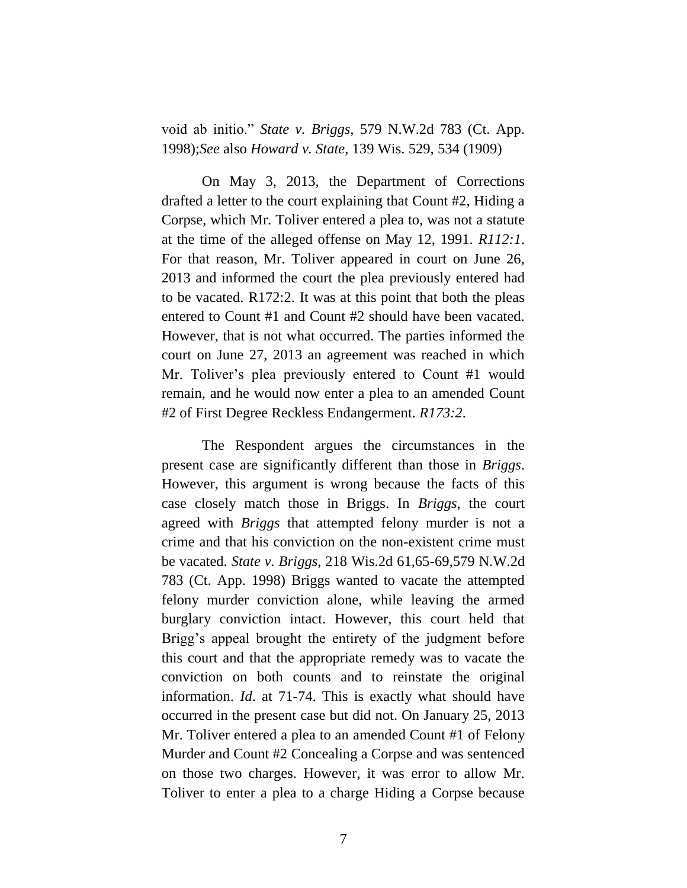void ab initio." *State v. Briggs*, 579 N.W.2d 783 (Ct. App. 1998);*See* also *Howard v. State*, 139 Wis. 529, 534 (1909)

On May 3, 2013, the Department of Corrections drafted a letter to the court explaining that Count #2, Hiding a Corpse, which Mr. Toliver entered a plea to, was not a statute at the time of the alleged offense on May 12, 1991. *R112:1*. For that reason, Mr. Toliver appeared in court on June 26, 2013 and informed the court the plea previously entered had to be vacated. R172:2. It was at this point that both the pleas entered to Count #1 and Count #2 should have been vacated. However, that is not what occurred. The parties informed the court on June 27, 2013 an agreement was reached in which Mr. Toliver's plea previously entered to Count #1 would remain, and he would now enter a plea to an amended Count #2 of First Degree Reckless Endangerment. *R173:2*.

The Respondent argues the circumstances in the present case are significantly different than those in *Briggs*. However, this argument is wrong because the facts of this case closely match those in Briggs. In *Briggs*, the court agreed with *Briggs* that attempted felony murder is not a crime and that his conviction on the non-existent crime must be vacated. *State v. Briggs*, 218 Wis.2d 61,65-69,579 N.W.2d 783 (Ct. App. 1998) Briggs wanted to vacate the attempted felony murder conviction alone, while leaving the armed burglary conviction intact. However, this court held that Brigg's appeal brought the entirety of the judgment before this court and that the appropriate remedy was to vacate the conviction on both counts and to reinstate the original information. *Id*. at 71-74. This is exactly what should have occurred in the present case but did not. On January 25, 2013 Mr. Toliver entered a plea to an amended Count #1 of Felony Murder and Count #2 Concealing a Corpse and was sentenced on those two charges. However, it was error to allow Mr. Toliver to enter a plea to a charge Hiding a Corpse because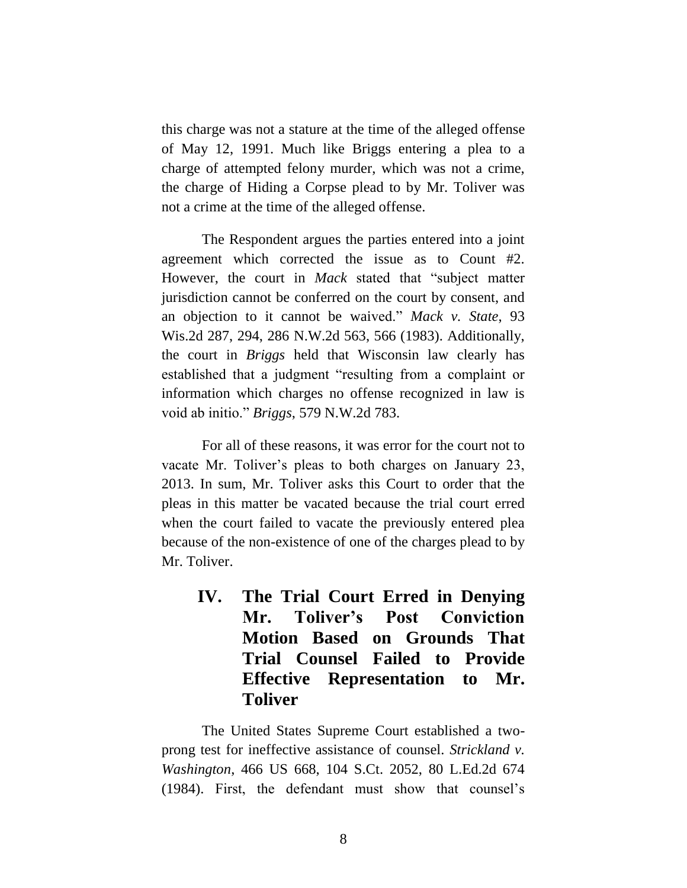this charge was not a stature at the time of the alleged offense of May 12, 1991. Much like Briggs entering a plea to a charge of attempted felony murder, which was not a crime, the charge of Hiding a Corpse plead to by Mr. Toliver was not a crime at the time of the alleged offense.

The Respondent argues the parties entered into a joint agreement which corrected the issue as to Count #2. However, the court in *Mack* stated that "subject matter jurisdiction cannot be conferred on the court by consent, and an objection to it cannot be waived." *Mack v. State*, 93 Wis.2d 287, 294, 286 N.W.2d 563, 566 (1983). Additionally, the court in *Briggs* held that Wisconsin law clearly has established that a judgment "resulting from a complaint or information which charges no offense recognized in law is void ab initio." *Briggs*, 579 N.W.2d 783.

For all of these reasons, it was error for the court not to vacate Mr. Toliver's pleas to both charges on January 23, 2013. In sum, Mr. Toliver asks this Court to order that the pleas in this matter be vacated because the trial court erred when the court failed to vacate the previously entered plea because of the non-existence of one of the charges plead to by Mr. Toliver.

**IV. The Trial Court Erred in Denying Mr. Toliver's Post Conviction Motion Based on Grounds That Trial Counsel Failed to Provide Effective Representation to Mr. Toliver**

The United States Supreme Court established a twoprong test for ineffective assistance of counsel. *Strickland v. Washington*, 466 US 668, 104 S.Ct. 2052, 80 L.Ed.2d 674 (1984). First, the defendant must show that counsel's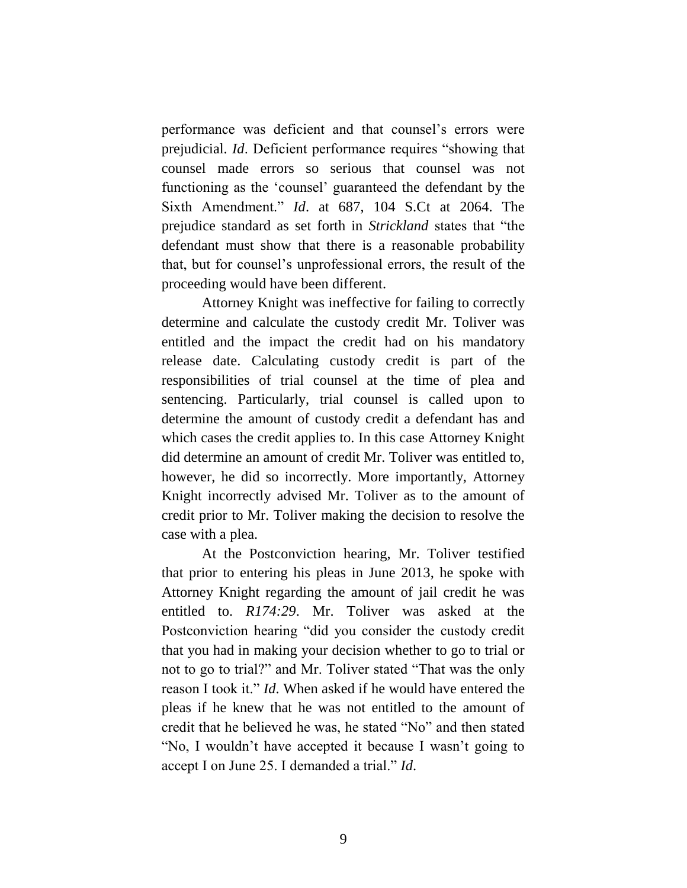performance was deficient and that counsel's errors were prejudicial. *Id*. Deficient performance requires "showing that counsel made errors so serious that counsel was not functioning as the 'counsel' guaranteed the defendant by the Sixth Amendment." *Id*. at 687, 104 S.Ct at 2064. The prejudice standard as set forth in *Strickland* states that "the defendant must show that there is a reasonable probability that, but for counsel's unprofessional errors, the result of the proceeding would have been different.

Attorney Knight was ineffective for failing to correctly determine and calculate the custody credit Mr. Toliver was entitled and the impact the credit had on his mandatory release date. Calculating custody credit is part of the responsibilities of trial counsel at the time of plea and sentencing. Particularly, trial counsel is called upon to determine the amount of custody credit a defendant has and which cases the credit applies to. In this case Attorney Knight did determine an amount of credit Mr. Toliver was entitled to, however, he did so incorrectly. More importantly, Attorney Knight incorrectly advised Mr. Toliver as to the amount of credit prior to Mr. Toliver making the decision to resolve the case with a plea.

At the Postconviction hearing, Mr. Toliver testified that prior to entering his pleas in June 2013, he spoke with Attorney Knight regarding the amount of jail credit he was entitled to. *R174:29*. Mr. Toliver was asked at the Postconviction hearing "did you consider the custody credit that you had in making your decision whether to go to trial or not to go to trial?" and Mr. Toliver stated "That was the only reason I took it." *Id*. When asked if he would have entered the pleas if he knew that he was not entitled to the amount of credit that he believed he was, he stated "No" and then stated "No, I wouldn't have accepted it because I wasn't going to accept I on June 25. I demanded a trial." *Id*.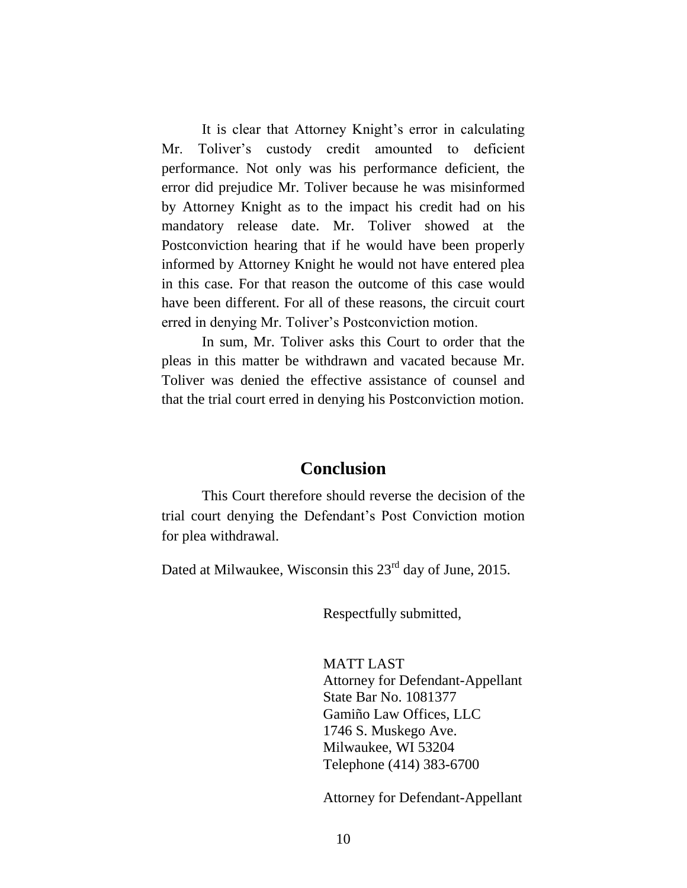It is clear that Attorney Knight's error in calculating Mr. Toliver's custody credit amounted to deficient performance. Not only was his performance deficient, the error did prejudice Mr. Toliver because he was misinformed by Attorney Knight as to the impact his credit had on his mandatory release date. Mr. Toliver showed at the Postconviction hearing that if he would have been properly informed by Attorney Knight he would not have entered plea in this case. For that reason the outcome of this case would have been different. For all of these reasons, the circuit court erred in denying Mr. Toliver's Postconviction motion.

In sum, Mr. Toliver asks this Court to order that the pleas in this matter be withdrawn and vacated because Mr. Toliver was denied the effective assistance of counsel and that the trial court erred in denying his Postconviction motion.

#### **Conclusion**

This Court therefore should reverse the decision of the trial court denying the Defendant's Post Conviction motion for plea withdrawal.

Dated at Milwaukee, Wisconsin this  $23<sup>rd</sup>$  day of June, 2015.

Respectfully submitted,

MATT LAST Attorney for Defendant-Appellant State Bar No. 1081377 Gamiño Law Offices, LLC 1746 S. Muskego Ave. Milwaukee, WI 53204 Telephone (414) 383-6700

Attorney for Defendant-Appellant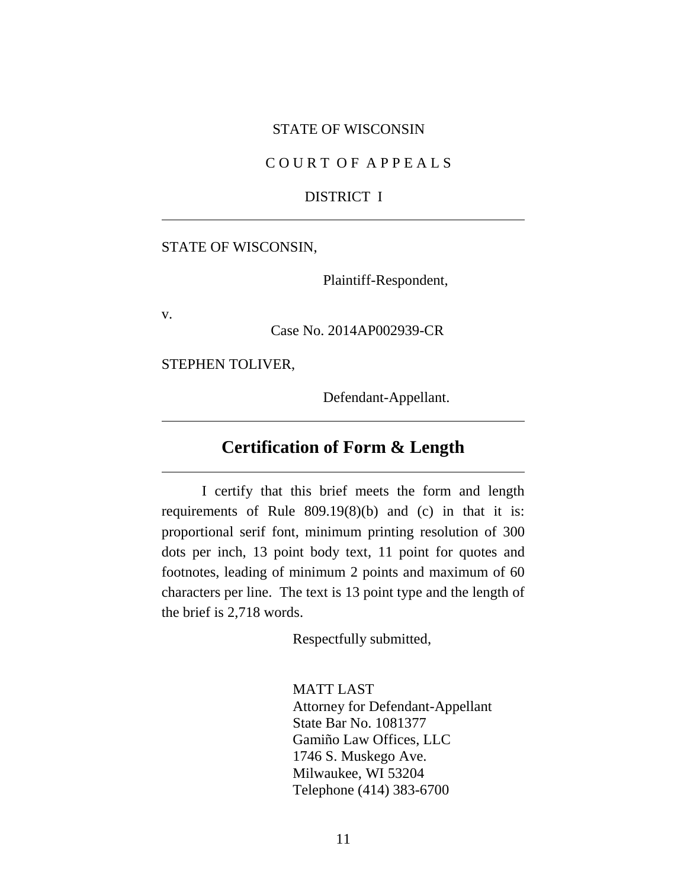#### STATE OF WISCONSIN

#### C O U R T O F A P P E A L S

#### DISTRICT I

#### STATE OF WISCONSIN,

Plaintiff-Respondent,

v.

Case No. 2014AP002939-CR

STEPHEN TOLIVER,

Defendant-Appellant.

## **Certification of Form & Length**

I certify that this brief meets the form and length requirements of Rule 809.19(8)(b) and (c) in that it is: proportional serif font, minimum printing resolution of 300 dots per inch, 13 point body text, 11 point for quotes and footnotes, leading of minimum 2 points and maximum of 60 characters per line. The text is 13 point type and the length of the brief is 2,718 words.

Respectfully submitted,

MATT LAST Attorney for Defendant-Appellant State Bar No. 1081377 Gamiño Law Offices, LLC 1746 S. Muskego Ave. Milwaukee, WI 53204 Telephone (414) 383-6700